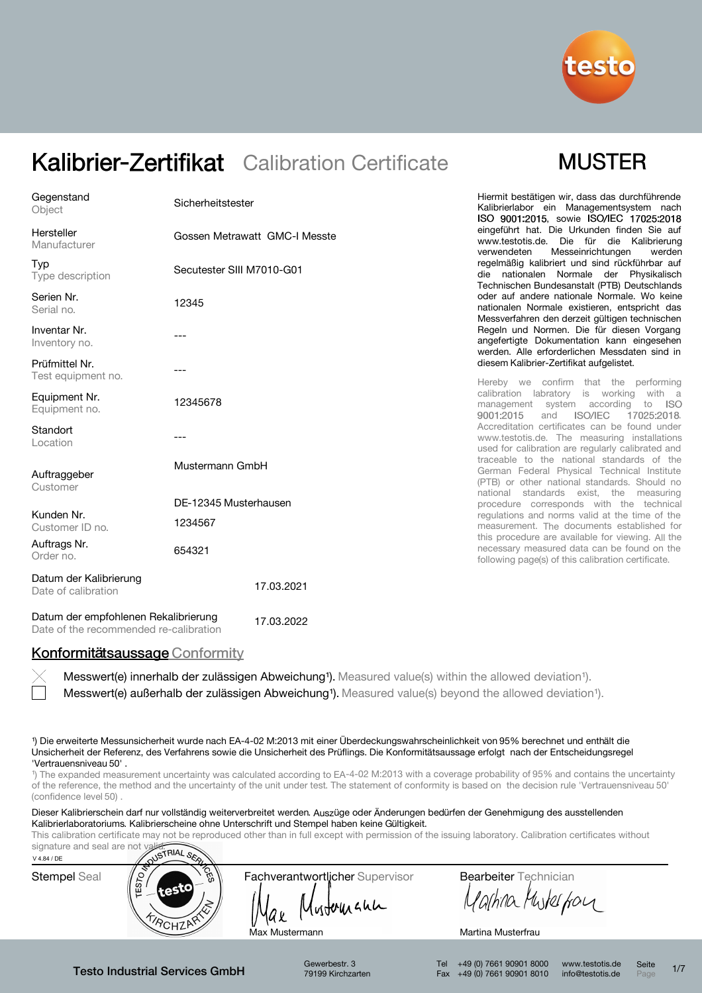

### **MUSTER**

| Gegenstand<br>Object                          | Sicherheitstester             | Hiermit bestätigen wir, dass das durchführende<br>Kalibrierlabor ein Managementsystem nach<br>ISO 9001:2015, sowie ISO/IEC 17025:2018                                                  |  |  |  |  |
|-----------------------------------------------|-------------------------------|----------------------------------------------------------------------------------------------------------------------------------------------------------------------------------------|--|--|--|--|
| Hersteller<br>Manufacturer                    | Gossen Metrawatt GMC-I Messte | eingeführt hat. Die Urkunden finden Sie auf<br>www.testotis.de. Die für die Kalibrierung<br>Messeinrichtungen<br>verwendeten<br>werden                                                 |  |  |  |  |
| Typ<br>Type description                       | Secutester SIII M7010-G01     | regelmäßig kalibriert und sind rückführbar auf<br>die nationalen Normale der Physikalisch<br>Technischen Bundesanstalt (PTB) Deutschlands                                              |  |  |  |  |
| Serien Nr.<br>Serial no.                      | 12345                         | oder auf andere nationale Normale. Wo keine<br>nationalen Normale existieren, entspricht das<br>Messverfahren den derzeit gültigen technischen                                         |  |  |  |  |
| Inventar Nr.<br>Inventory no.                 |                               | Regeln und Normen. Die für diesen Vorgang<br>angefertigte Dokumentation kann eingesehen<br>werden. Alle erforderlichen Messdaten sind in                                               |  |  |  |  |
| Prüfmittel Nr.<br>Test equipment no.          | ---                           | diesem Kalibrier-Zertifikat aufgelistet.                                                                                                                                               |  |  |  |  |
| Equipment Nr.<br>Equipment no.                | 12345678                      | Hereby we confirm that the performing<br>calibration labratory is working<br>with a<br>management system according<br>to<br>- ISO<br><b>ISO/IEC</b><br>17025:2018.<br>9001:2015<br>and |  |  |  |  |
| Standort<br>Location                          |                               | Accreditation certificates can be found under<br>www.testotis.de. The measuring installations<br>used for calibration are regularly calibrated and                                     |  |  |  |  |
| Auftraggeber<br>Customer                      | Mustermann GmbH               | traceable to the national standards of the<br>German Federal Physical Technical Institute<br>(PTB) or other national standards. Should no<br>national standards exist, the measuring   |  |  |  |  |
|                                               | DE-12345 Musterhausen         | procedure corresponds with the technical                                                                                                                                               |  |  |  |  |
| Kunden Nr.<br>Customer ID no.                 | 1234567                       | regulations and norms valid at the time of the<br>measurement. The documents established for                                                                                           |  |  |  |  |
| Auftrags Nr.<br>Order no.                     | 654321                        | this procedure are available for viewing. All the<br>necessary measured data can be found on the<br>following page(s) of this calibration certificate.                                 |  |  |  |  |
| Datum der Kalibrierung<br>Date of calibration | 17.03.2021                    |                                                                                                                                                                                        |  |  |  |  |

Datum der empfohlenen Rekalibrierung Date of the recommended re-calibration 17.03.2022

#### Konformitätsaussage Conformity

Messwert(e) außerhalb der zulässigen Abweichung<sup>1</sup>). Measured value(s) beyond the allowed deviation<sup>1</sup>). Messwert(e) innerhalb der zulässigen Abweichung<sup>1</sup>). Measured value(s) within the allowed deviation<sup>1</sup>).

¹) Die erweiterte Messunsicherheit wurde nach EA-4-02 M:2013 mit einer Überdeckungswahrscheinlichkeit von 95% berechnet und enthält die Unsicherheit der Referenz, des Verfahrens sowie die Unsicherheit des Prüflings. Die Konformitätsaussage erfolgt nach der Entscheidungsregel 'Vertrauensniveau 50' .

<sup>1</sup>) The expanded measurement uncertainty was calculated according to EA-4-02 M:2013 with a coverage probability of 95% and contains the uncertainty of the reference, the method and the uncertainty of the unit under test. The statement of conformity is based on the decision rule 'Vertrauensniveau 50' (confidence level 50)

Dieser Kalibrierschein darf nur vollständig weiterverbreitet werden. Auszüge oder Änderungen bedürfen der Genehmigung des ausstellenden Kalibrierlaboratoriums. Kalibrierscheine ohne Unterschrift und Stempel haben keine Gültigkeit.

This calibration certificate may not be reproduced other than in full except with permission of the issuing laboratory. Calibration certificates without



Gewerbestr. 3 79199 Kirchzarten

Tel +49 (0) 7661 90901 8000 Fax +49 (0) 7661 90901 8010 www.testotis.de info@testotis.de Seite  $P_{\text{A}}$  1/7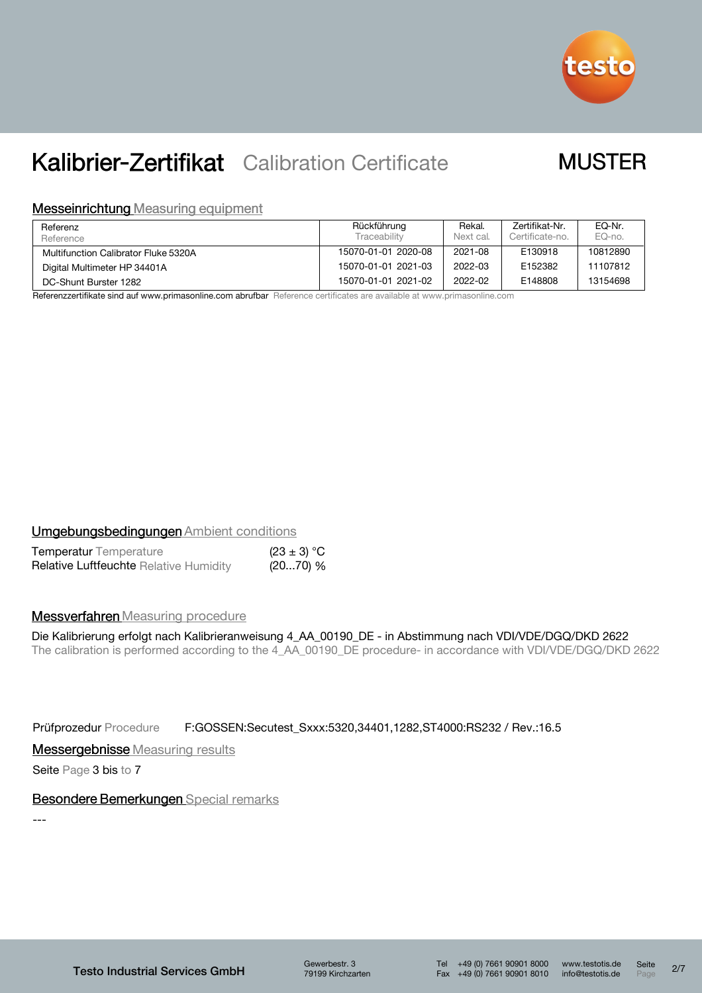

### **MUSTER**

#### **Messeinrichtung Measuring equipment**

| Referenz<br>Reference                | Rückführung<br>Traceability | Rekal.<br>Next cal. | Zertifikat-Nr.<br>Certificate-no. | EQ-Nr.<br>EQ-no. |
|--------------------------------------|-----------------------------|---------------------|-----------------------------------|------------------|
| Multifunction Calibrator Fluke 5320A | 15070-01-01 2020-08         | 2021-08             | E130918                           | 10812890         |
| Digital Multimeter HP 34401A         | 15070-01-01 2021-03         | 2022-03             | E152382                           | 11107812         |
| DC-Shunt Burster 1282                | 15070-01-01 2021-02         | 2022-02             | E148808                           | 13154698         |

Referenzzertifikate sind auf www.primasonline.com abrufbar Reference certificates are available at www.primasonline.com

#### **Umgebungsbedingungen Ambient conditions**

| <b>Temperatur</b> Temperature                 | $(23 \pm 3) °C$ |  |
|-----------------------------------------------|-----------------|--|
| <b>Relative Luftfeuchte Relative Humidity</b> | (2070) %        |  |

#### **Messverfahren** Measuring procedure

Die Kalibrierung erfolgt nach Kalibrieranweisung 4\_AA\_00190\_DE - in Abstimmung nach VDI/VDE/DGQ/DKD 2622 The calibration is performed according to the 4\_AA\_00190\_DE procedure- in accordance with VDI/VDE/DGQ/DKD 2622

Prüfprozedur Procedure F:GOSSEN:Secutest\_Sxxx:5320,34401,1282,ST4000:RS232 / Rev.:16.5

**Messergebnisse** Measuring results

Seite Page 3 bis to 7

#### **Besondere Bemerkungen Special remarks**

---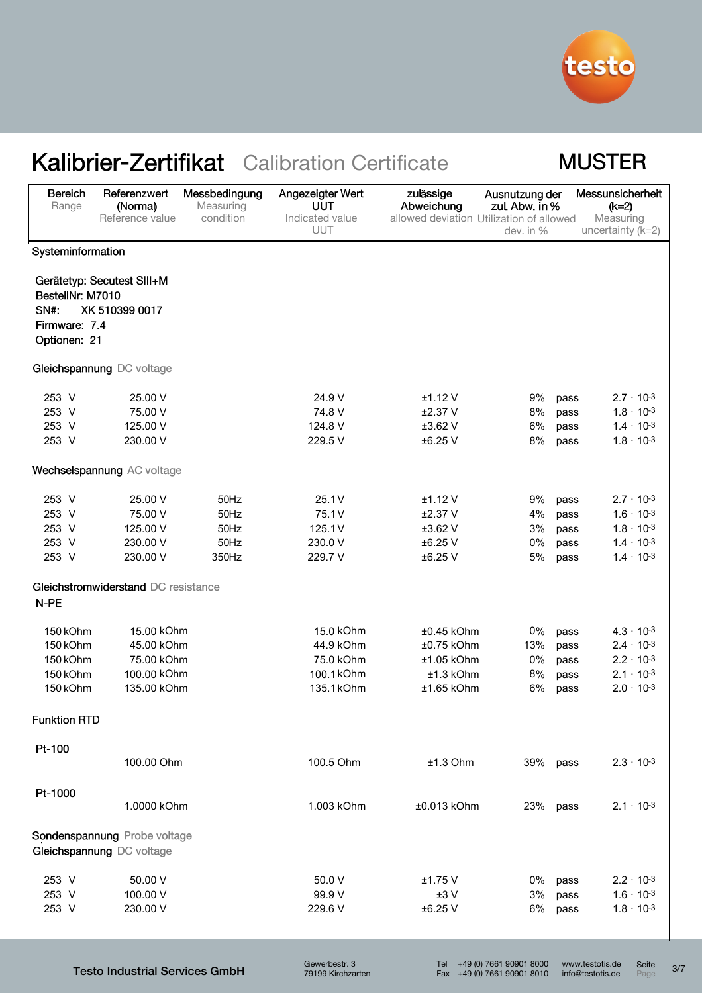

### **MUSTER**

| Bereich<br>Range         | Referenzwert<br>(Normal)<br>Reference value               | Messbedingung<br>Measuring<br>condition | Angezeigter Wert<br><b>UUT</b><br>Indicated value | zulässige<br>Abweichung<br>allowed deviation Utilization of allowed | Ausnutzung der<br>zul. Abw. in % | Messunsicherheit<br>$(k=2)$<br>Measuring |
|--------------------------|-----------------------------------------------------------|-----------------------------------------|---------------------------------------------------|---------------------------------------------------------------------|----------------------------------|------------------------------------------|
|                          |                                                           |                                         | UUT                                               |                                                                     | dev. in %                        | uncertainty $(k=2)$                      |
| Systeminformation        |                                                           |                                         |                                                   |                                                                     |                                  |                                          |
|                          | Gerätetyp: Secutest SIII+M                                |                                         |                                                   |                                                                     |                                  |                                          |
| BestellNr: M7010<br>SN#: | XK 510399 0017                                            |                                         |                                                   |                                                                     |                                  |                                          |
| Firmware: 7.4            |                                                           |                                         |                                                   |                                                                     |                                  |                                          |
| Optionen: 21             |                                                           |                                         |                                                   |                                                                     |                                  |                                          |
|                          | Gleichspannung DC voltage                                 |                                         |                                                   |                                                                     |                                  |                                          |
| 253 V                    | 25.00 V                                                   |                                         | 24.9 V                                            | $±1.12$ V                                                           | 9%                               | $2.7 \cdot 10^{-3}$<br>pass              |
| 253 V                    | 75.00 V                                                   |                                         | 74.8 V                                            | $±2.37$ V                                                           | 8%                               | $1.8 \cdot 10^{-3}$<br>pass              |
| 253 V                    | 125.00 V                                                  |                                         | 124.8 V                                           | $±3.62$ V                                                           | 6%                               | $1.4 \cdot 10^{-3}$<br>pass              |
| 253 V                    | 230.00 V                                                  |                                         | 229.5 V                                           | $±6.25$ V                                                           | 8%                               | $1.8 \cdot 10^{-3}$<br>pass              |
|                          | Wechselspannung AC voltage                                |                                         |                                                   |                                                                     |                                  |                                          |
| 253 V                    | 25.00 V                                                   | 50Hz                                    | 25.1V                                             | ±1.12V                                                              | 9%                               | $2.7 \cdot 10^{-3}$<br>pass              |
| 253 V                    | 75.00 V                                                   | 50Hz                                    | 75.1 V                                            | $±2.37$ V                                                           | 4%                               | $1.6 \cdot 10^{-3}$<br>pass              |
| 253 V                    | 125.00 V                                                  | 50Hz                                    | 125.1V                                            | $±3.62$ V                                                           | 3%                               | $1.8 \cdot 10^{-3}$<br>pass              |
| 253 V                    | 230.00 V                                                  | 50Hz                                    | 230.0 V                                           | ±6.25 V                                                             | 0%                               | $1.4 \cdot 10^{-3}$<br>pass              |
| 253 V                    | 230.00 V                                                  | 350Hz                                   | 229.7 V                                           | ±6.25 V                                                             | $5\%$                            | $1.4 \cdot 10^{-3}$<br>pass              |
|                          | Gleichstromwiderstand DC resistance                       |                                         |                                                   |                                                                     |                                  |                                          |
| N-PE                     |                                                           |                                         |                                                   |                                                                     |                                  |                                          |
| 150 kOhm                 | 15.00 kOhm                                                |                                         | 15.0 kOhm                                         | $±0.45$ kOhm                                                        | 0%                               | $4.3 \cdot 10^{-3}$<br>pass              |
| 150 kOhm                 | 45.00 kOhm                                                |                                         | 44.9 kOhm                                         | $±0.75$ kOhm                                                        | 13%                              | $2.4 \cdot 10^{-3}$<br>pass              |
| 150 kOhm                 | 75.00 kOhm                                                |                                         | 75.0 kOhm                                         | $±1.05$ kOhm                                                        | 0%                               | $2.2 \cdot 10^{-3}$<br>pass              |
| 150 kOhm                 | 100.00 kOhm                                               |                                         | 100.1 kOhm                                        | $±1.3$ kOhm                                                         | 8%                               | $2.1 \cdot 10^{-3}$<br>pass              |
| 150 kOhm                 | 135.00 kOhm                                               |                                         | 135.1 kOhm                                        | $±1.65$ kOhm                                                        | 6%                               | $2.0 \cdot 10^{-3}$<br>pass              |
| <b>Funktion RTD</b>      |                                                           |                                         |                                                   |                                                                     |                                  |                                          |
| Pt-100                   | 100.00 Ohm                                                |                                         | 100.5 Ohm                                         |                                                                     |                                  | $2.3 \cdot 10^{-3}$                      |
|                          |                                                           |                                         |                                                   | $±1.3$ Ohm                                                          | 39% pass                         |                                          |
| Pt-1000                  |                                                           |                                         |                                                   |                                                                     |                                  |                                          |
|                          | 1.0000 kOhm                                               |                                         | 1.003 kOhm                                        | $±0.013$ kOhm                                                       | 23%                              | $2.1 \cdot 10^{-3}$<br>pass              |
|                          | Sondenspannung Probe voltage<br>Gleichspannung DC voltage |                                         |                                                   |                                                                     |                                  |                                          |
| 253 V                    | 50.00 V                                                   |                                         | 50.0 V                                            | ±1.75V                                                              | 0%                               | $2.2 \cdot 10^{-3}$<br>pass              |
| 253 V                    | 100.00 V                                                  |                                         | 99.9 V                                            | ±3V                                                                 | $3\%$                            | $1.6 \cdot 10^{-3}$<br>pass              |
| 253 V                    | 230.00 V                                                  |                                         | 229.6 V                                           | $±6.25$ V                                                           | 6%                               | $1.8 \cdot 10^{-3}$<br>pass              |
|                          |                                                           |                                         |                                                   |                                                                     |                                  |                                          |

Testo Industrial Services GmbH

Gewerbestr. 3 79199 Kirchzarten

Tel +49 (0) 7661 90901 8000 Fax +49 (0) 7661 90901 8010 www.testotis.de info@testotis.de

Seite 3/7

Seite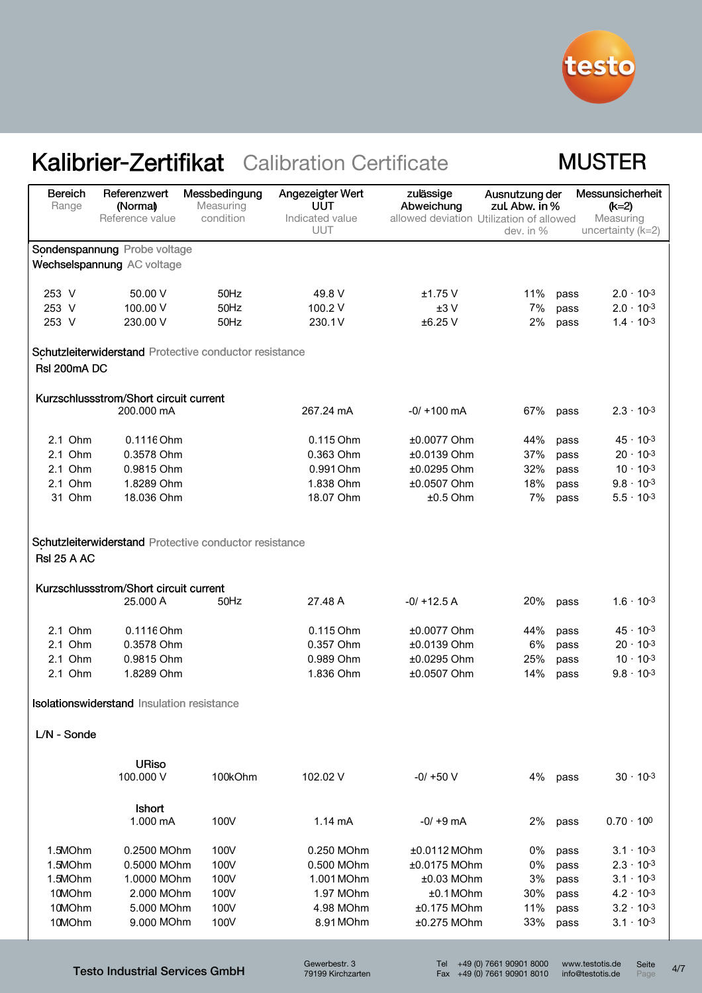

### **MUSTER**

| <b>Bereich</b><br>Range | Referenzwert<br>(Normal)                   | Messbedingung<br>Measuring                             | Angezeigter Wert<br>UUT | zulässige<br>Abweichung                  | Ausnutzung der<br>zul. Abw. in % |      | Messunsicherheit<br>$(k=2)$      |
|-------------------------|--------------------------------------------|--------------------------------------------------------|-------------------------|------------------------------------------|----------------------------------|------|----------------------------------|
|                         | Reference value                            | condition                                              | Indicated value<br>UUT  | allowed deviation Utilization of allowed | dev. in %                        |      | Measuring<br>uncertainty $(k=2)$ |
|                         | Sondenspannung Probe voltage               |                                                        |                         |                                          |                                  |      |                                  |
|                         | Wechselspannung AC voltage                 |                                                        |                         |                                          |                                  |      |                                  |
| 253 V                   | 50.00 V                                    | 50Hz                                                   | 49.8 V                  | $±1.75$ V                                | 11%                              | pass | $2.0 \cdot 10^{-3}$              |
| 253 V                   | 100.00 V                                   | 50Hz                                                   | 100.2 V                 | ±3V                                      | 7%                               | pass | $2.0 \cdot 10^{-3}$              |
| 253 V                   | 230.00 V                                   | 50Hz                                                   | 230.1V                  | ±6.25 V                                  | 2%                               | pass | $1.4 \cdot 10^{-3}$              |
|                         |                                            | Schutzleiterwiderstand Protective conductor resistance |                         |                                          |                                  |      |                                  |
| Rsl 200mA DC            |                                            |                                                        |                         |                                          |                                  |      |                                  |
|                         | Kurzschlussstrom/Short circuit current     |                                                        |                         |                                          |                                  |      |                                  |
|                         | 200.000 mA                                 |                                                        | 267.24 mA               | $-0/ + 100$ mA                           | 67%                              | pass | $2.3 \cdot 10^{-3}$              |
| 2.1 Ohm                 | 0.1116 Ohm                                 |                                                        | 0.115 Ohm               | ±0.0077 Ohm                              | 44%                              | pass | $45 \cdot 10^{-3}$               |
| 2.1 Ohm                 | 0.3578 Ohm                                 |                                                        | 0.363 Ohm               | $±0.0139$ Ohm                            | 37%                              | pass | $20 \cdot 10^{-3}$               |
| 2.1 Ohm                 | 0.9815 Ohm                                 |                                                        | 0.991 Ohm               | ±0.0295 Ohm                              | 32%                              | pass | $10 \cdot 10^{-3}$               |
| 2.1 Ohm                 | 1.8289 Ohm                                 |                                                        | 1.838 Ohm               | ±0.0507 Ohm                              | 18%                              | pass | $9.8 \cdot 10^{-3}$              |
| 31 Ohm                  | 18.036 Ohm                                 |                                                        | 18.07 Ohm               | $±0.5$ Ohm                               | 7%                               | pass | $5.5 \cdot 10^{-3}$              |
|                         |                                            |                                                        |                         |                                          |                                  |      |                                  |
| <b>RsI 25 A AC</b>      |                                            | Schutzleiterwiderstand Protective conductor resistance |                         |                                          |                                  |      |                                  |
|                         | Kurzschlussstrom/Short circuit current     |                                                        |                         |                                          |                                  |      |                                  |
|                         | 25,000 A                                   | 50Hz                                                   | 27.48 A                 | $-0/ + 12.5 A$                           | 20%                              | pass | $1.6 \cdot 10^{-3}$              |
| 2.1 Ohm                 | 0.1116 Ohm                                 |                                                        | 0.115 Ohm               | ±0.0077 Ohm                              | 44%                              | pass | $45 \cdot 10^{-3}$               |
| 2.1 Ohm                 | 0.3578 Ohm                                 |                                                        | 0.357 Ohm               | ±0.0139 Ohm                              | 6%                               | pass | $20 \cdot 10^{-3}$               |
| 2.1 Ohm                 | 0.9815 Ohm                                 |                                                        | 0.989 Ohm               | ±0.0295 Ohm                              | 25%                              | pass | $10 \cdot 10^{-3}$               |
| 2.1 Ohm                 | 1.8289 Ohm                                 |                                                        | 1.836 Ohm               | ±0.0507 Ohm                              | 14%                              | pass | $9.8 \cdot 10^{-3}$              |
|                         | Isolationswiderstand Insulation resistance |                                                        |                         |                                          |                                  |      |                                  |
| L/N - Sonde             |                                            |                                                        |                         |                                          |                                  |      |                                  |
|                         |                                            |                                                        |                         |                                          |                                  |      |                                  |
|                         | <b>URiso</b><br>100.000 V                  | 100kOhm                                                | 102.02 V                | $-0/ +50$ V                              | 4%                               | pass | $30 \cdot 10^{-3}$               |
|                         | Ishort                                     |                                                        |                         |                                          |                                  |      |                                  |
|                         | 1.000 mA                                   | 100V                                                   | 1.14 mA                 | $-0/ +9$ mA                              | 2%                               | pass | $0.70 \cdot 10^{0}$              |
| 1.5MOhm                 | 0.2500 MOhm                                | 100V                                                   | 0.250 MOhm              | $±0.0112$ MOhm                           | 0%                               | pass | $3.1 \cdot 10^{-3}$              |
| 1.5MOhm                 | 0.5000 MOhm                                | 100V                                                   | 0.500 MOhm              | ±0.0175 MOhm                             | 0%                               | pass | $2.3 \cdot 10^{-3}$              |
| 1.5MOhm                 | 1.0000 MOhm                                | 100V                                                   | 1.001 MOhm              | $±0.03$ MOhm                             | 3%                               | pass | $3.1 \cdot 10^{-3}$              |
| 10MOhm                  | 2.000 MOhm                                 | 100V                                                   | 1.97 MOhm               | ±0.1 MOhm                                | 30%                              | pass | $4.2 \cdot 10^{-3}$              |
| 10MOhm                  | 5.000 MOhm                                 | 100V                                                   | 4.98 MOhm               | $±0.175$ MOhm                            | 11%                              | pass | $3.2 \cdot 10^{-3}$              |
| 10MOhm                  | 9.000 MOhm                                 | 100V                                                   | 8.91 MOhm               | $±0.275$ MOhm                            | 33%                              | pass | $3.1 \cdot 10^{-3}$              |

Testo Industrial Services GmbH

Gewerbestr. 3 79199 Kirchzarten Tel +49 (0) 7661 90901 8000 Fax +49 (0) 7661 90901 8010

www.testotis.de info@testotis.de Seite Seite 4/7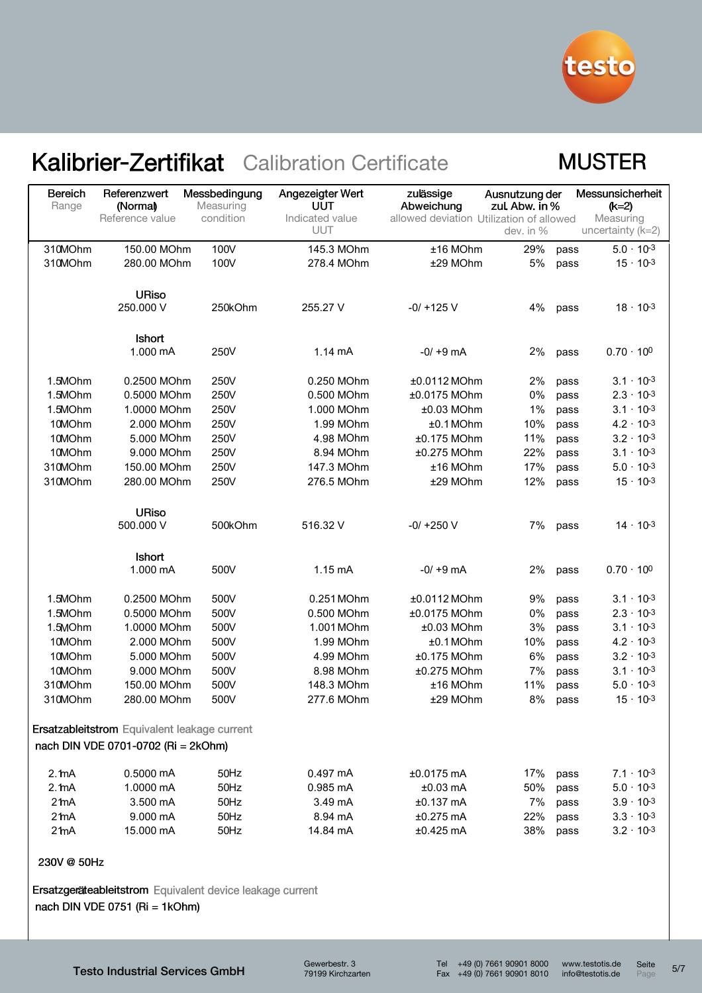

#### **MUSTER**

| <b>Bereich</b><br>Range | Referenzwert<br>(Normal)                     | Messbedingung<br>Measuring | Angezeigter Wert<br>UUT       | zulässige<br>Abweichung                  | Ausnutzung der<br>zul. Abw. in % | Messunsicherheit<br>$(k=2)$    |
|-------------------------|----------------------------------------------|----------------------------|-------------------------------|------------------------------------------|----------------------------------|--------------------------------|
|                         | Reference value                              | condition                  | Indicated value<br><b>UUT</b> | allowed deviation Utilization of allowed | dev. in %                        | Measuring<br>uncertainty (k=2) |
| 310MOhm                 | 150.00 MOhm                                  | 100V                       | 145.3 MOhm                    | ±16 MOhm                                 | 29%                              | $5.0 \cdot 10^{-3}$<br>pass    |
| 310MOhm                 | 280.00 MOhm                                  | 100V                       | 278.4 MOhm                    | ±29 MOhm                                 | 5%                               | $15 \cdot 10^{-3}$<br>pass     |
|                         |                                              |                            |                               |                                          |                                  |                                |
|                         | <b>URiso</b><br>250.000 V                    | 250kOhm                    | 255.27 V                      | $-0/ + 125$ V                            | 4%                               | $18 \cdot 10^{-3}$<br>pass     |
|                         | <b>Ishort</b><br>1.000 mA                    | 250V                       | $1.14 \text{ mA}$             | $-0/ +9$ mA                              | 2%                               | $0.70 \cdot 10^{0}$<br>pass    |
| 1.5MOhm                 | 0.2500 MOhm                                  | 250V                       | 0.250 MOhm                    | ±0.0112 MOhm                             | 2%                               | $3.1 \cdot 10^{-3}$<br>pass    |
| 1.5MOhm                 | 0.5000 MOhm                                  | 250V                       | 0.500 MOhm                    | ±0.0175 MOhm                             | 0%                               | $2.3 \cdot 10^{-3}$<br>pass    |
| 1.5MOhm                 | 1.0000 MOhm                                  | 250V                       | 1.000 MOhm                    | ±0.03 MOhm                               | 1%                               | $3.1 \cdot 10^{-3}$<br>pass    |
| 10MOhm                  | 2.000 MOhm                                   | 250V                       | 1.99 MOhm                     | $±0.1$ MOhm                              | 10%                              | $4.2 \cdot 10^{-3}$<br>pass    |
| 10MOhm                  | 5.000 MOhm                                   | 250V                       | 4.98 MOhm                     | ±0.175 MOhm                              | 11%                              | $3.2 \cdot 10^{-3}$<br>pass    |
| 10MOhm                  | 9.000 MOhm                                   | 250V                       | 8.94 MOhm                     | ±0.275 MOhm                              | 22%                              | $3.1 \cdot 10^{-3}$<br>pass    |
| 310MOhm                 | 150.00 MOhm                                  | 250V                       | 147.3 MOhm                    | ±16 MOhm                                 | 17%                              | $5.0 \cdot 10^{-3}$<br>pass    |
| 310MOhm                 | 280.00 MOhm                                  | 250V                       | 276.5 MOhm                    | ±29 MOhm                                 | 12%                              | $15 \cdot 10^{-3}$<br>pass     |
|                         | <b>URiso</b>                                 |                            |                               |                                          |                                  |                                |
|                         | 500.000 V                                    | 500kOhm                    | 516.32 V                      | $-0/ +250$ V                             | 7%                               | $14 \cdot 10^{-3}$<br>pass     |
|                         | <b>Ishort</b>                                |                            |                               |                                          |                                  |                                |
|                         | 1.000 mA                                     | 500V                       | $1.15 \text{ mA}$             | $-0/ +9$ mA                              | 2%                               | $0.70 \cdot 100$<br>pass       |
| 1.5MOhm                 | 0.2500 MOhm                                  | 500V                       | 0.251 MOhm                    | ±0.0112 MOhm                             | 9%                               | $3.1 \cdot 10^{-3}$<br>pass    |
| 1.5MOhm                 | 0.5000 MOhm                                  | 500V                       | 0.500 MOhm                    | ±0.0175 MOhm                             | 0%                               | $2.3 \cdot 10^{-3}$<br>pass    |
| 1.5MOhm                 | 1.0000 MOhm                                  | 500V                       | 1.001 MOhm                    | ±0.03 MOhm                               | 3%                               | $3.1 \cdot 10^{-3}$<br>pass    |
| 10MOhm                  | 2.000 MOhm                                   | 500V                       | 1.99 MOhm                     | $±0.1$ MOhm                              | 10%                              | $4.2 \cdot 10^{-3}$<br>pass    |
| 10MOhm                  | 5.000 MOhm                                   | 500V                       | 4.99 MOhm                     | ±0.175 MOhm                              | 6%                               | $3.2 \cdot 10^{-3}$<br>pass    |
| 10MOhm                  | 9.000 MOhm                                   | 500V                       | 8.98 MOhm                     | ±0.275 MOhm                              | 7%                               | $3.1 \cdot 10^{-3}$<br>pass    |
| 310MOhm                 | 150.00 MOhm                                  | 500V                       | 148.3 MOhm                    | ±16 MOhm                                 | 11%                              | $5.0 \cdot 10^{-3}$<br>pass    |
| 310MOhm                 | 280.00 MOhm                                  | 500V                       | 277.6 MOhm                    | ±29 MOhm                                 | 8%                               | $15 \cdot 10^{-3}$<br>pass     |
|                         | Ersatzableitstrom Equivalent leakage current |                            |                               |                                          |                                  |                                |
|                         | nach DIN VDE 0701-0702 (Ri = 2kOhm)          |                            |                               |                                          |                                  |                                |
| 2.1 <sub>m</sub> A      | 0.5000 mA                                    | 50Hz                       | $0.497 \text{ mA}$            | $±0.0175$ mA                             | 17%                              | $7.1 \cdot 10^{-3}$<br>pass    |
| 2.1 <sub>m</sub> A      | 1.0000 mA                                    | 50Hz                       | $0.985$ mA                    | $±0.03$ mA                               | 50%                              | $5.0 \cdot 10^{-3}$<br>pass    |
| 2 <sub>ma</sub>         | 3.500 mA                                     | 50Hz                       | 3.49 mA                       | $±0.137$ mA                              | 7%                               | $3.9 \cdot 10^{-3}$<br>pass    |
| $2th$ A                 | 9.000 mA                                     | 50Hz                       | 8.94 mA                       | $±0.275$ mA                              | 22%                              | $3.3 \cdot 10^{-3}$<br>pass    |
| $2th$ A                 | 15.000 mA                                    | 50Hz                       | 14.84 mA                      | $±0.425$ mA                              | 38%                              | $3.2 \cdot 10^{-3}$<br>pass    |
| 230V @ 50Hz             |                                              |                            |                               |                                          |                                  |                                |

Ersatzgeräteableitstrom Equivalent device leakage current nach DIN VDE 0751 (Ri = 1kOhm)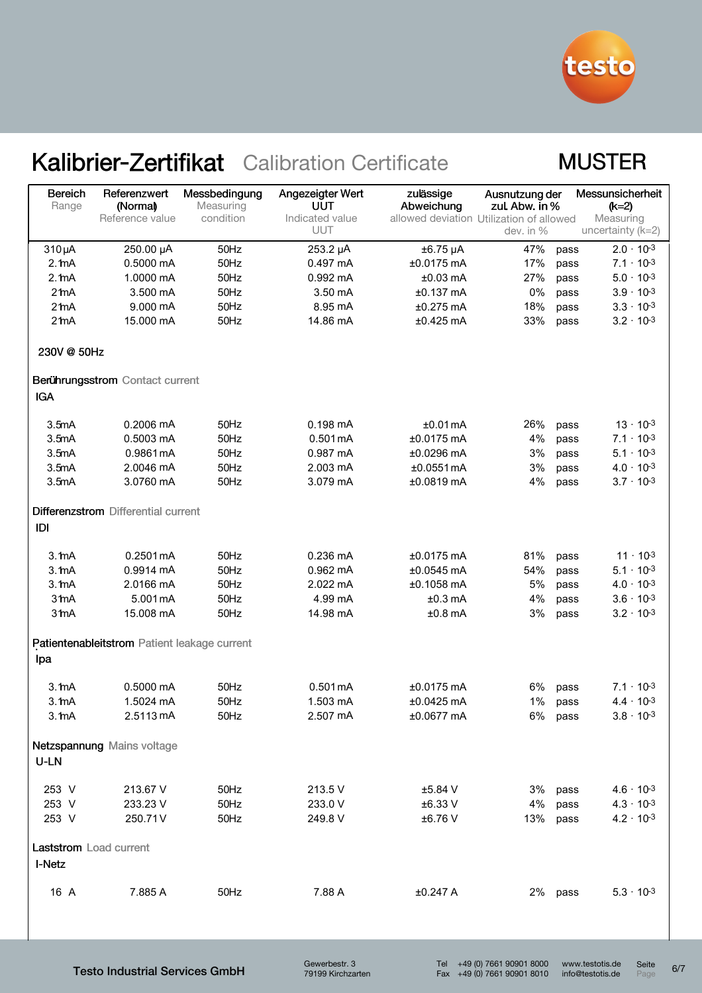

#### **MUSTER**

| Bereich<br>Range       | Referenzwert<br>(Normal)<br>Reference value  | Messbedingung<br>Measuring<br>condition | Angezeigter Wert<br>UUT<br>Indicated value | zulässige<br>Abweichung<br>allowed deviation Utilization of allowed | Ausnutzung der<br>zul. Abw. in % |      | Messunsicherheit<br>$(k=2)$<br>Measuring |
|------------------------|----------------------------------------------|-----------------------------------------|--------------------------------------------|---------------------------------------------------------------------|----------------------------------|------|------------------------------------------|
|                        |                                              |                                         | <b>UUT</b>                                 |                                                                     | dev. in %                        |      | uncertainty $(k=2)$                      |
| 310 µA                 | 250.00 µA                                    | 50Hz                                    | 253.2 µA                                   | $±6.75 \mu A$                                                       | 47%                              | pass | $2.0 \cdot 10^{-3}$                      |
| 2.1 <sub>m</sub> A     | 0.5000 mA                                    | 50Hz                                    | $0.497 \text{ mA}$                         | $±0.0175$ mA                                                        | 17%                              | pass | $7.1 \cdot 10^{-3}$                      |
| 2.1 <sub>m</sub> A     | 1.0000 mA                                    | 50Hz                                    | 0.992 mA                                   | $±0.03$ mA                                                          | 27%                              | pass | $5.0 \cdot 10^{-3}$                      |
| 2 <sub>ma</sub>        | 3.500 mA                                     | 50Hz                                    | 3.50 mA                                    | $±0.137$ mA                                                         | 0%                               | pass | $3.9 \cdot 10^{-3}$                      |
| $2th$ A                | 9.000 mA                                     | 50Hz                                    | 8.95 mA                                    | $±0.275$ mA                                                         | 18%                              | pass | $3.3 \cdot 10^{-3}$                      |
| 2 <sub>2</sub> mA      | 15.000 mA                                    | 50Hz                                    | 14.86 mA                                   | $±0.425$ mA                                                         | 33%                              | pass | $3.2 \cdot 10^{-3}$                      |
| 230V @ 50Hz            |                                              |                                         |                                            |                                                                     |                                  |      |                                          |
|                        | Berührungsstrom Contact current              |                                         |                                            |                                                                     |                                  |      |                                          |
| <b>IGA</b>             |                                              |                                         |                                            |                                                                     |                                  |      |                                          |
| 3.5mA                  | $0.2006 \text{ mA}$                          | 50Hz                                    | $0.198 \text{ mA}$                         | ±0.01mA                                                             | 26%                              | pass | $13 \cdot 10^{-3}$                       |
| 3.5mA                  | 0.5003 mA                                    | 50Hz                                    | 0.501mA                                    | $±0.0175$ mA                                                        | 4%                               | pass | $7.1 \cdot 10^{-3}$                      |
| 3.5mA                  | 0.9861 mA                                    | 50Hz                                    | 0.987 mA                                   | ±0.0296 mA                                                          | 3%                               | pass | $5.1 \cdot 10^{-3}$                      |
| 3.5mA                  | 2.0046 mA                                    | 50Hz                                    | 2.003 mA                                   | ±0.0551mA                                                           | 3%                               | pass | $4.0 \cdot 10^{-3}$                      |
| 3.5mA                  | 3.0760 mA                                    | 50Hz                                    | 3.079 mA                                   | ±0.0819 mA                                                          | 4%                               | pass | $3.7 \cdot 10^{-3}$                      |
|                        | Differenzstrom Differential current          |                                         |                                            |                                                                     |                                  |      |                                          |
| IDI                    |                                              |                                         |                                            |                                                                     |                                  |      |                                          |
| 3.1 <sub>m</sub> A     | $0.2501 \,\mathrm{mA}$                       | 50Hz                                    | $0.236 \text{ mA}$                         | $±0.0175$ mA                                                        | 81%                              | pass | $11 \cdot 10^{-3}$                       |
| 3.1 <sub>m</sub> A     | 0.9914 mA                                    | 50Hz                                    | $0.962$ mA                                 | $±0.0545$ mA                                                        | 54%                              | pass | $5.1 \cdot 10^{-3}$                      |
| 3.1 <sub>m</sub> A     | 2.0166 mA                                    | 50Hz                                    | 2.022 mA                                   | ±0.1058 mA                                                          | 5%                               | pass | $4.0 \cdot 10^{-3}$                      |
| 3 <sub>th</sub> A      | 5.001 mA                                     | 50Hz                                    | 4.99 mA                                    | $±0.3$ mA                                                           | 4%                               | pass | $3.6 \cdot 10^{-3}$                      |
| 3 <sub>mA</sub>        | 15.008 mA                                    | 50Hz                                    | 14.98 mA                                   | $±0.8$ mA                                                           | 3%                               | pass | $3.2 \cdot 10^{-3}$                      |
|                        | Patientenableitstrom Patient leakage current |                                         |                                            |                                                                     |                                  |      |                                          |
| lpa                    |                                              |                                         |                                            |                                                                     |                                  |      |                                          |
| 3.1 <sub>m</sub> A     | $0.5000$ mA                                  | 50Hz                                    | $0.501 \,\mathrm{mA}$                      | $±0.0175$ mA                                                        | 6%                               | pass | $7.1 \cdot 10^{-3}$                      |
| $3.1m$ A               | 1.5024 mA                                    | 50Hz                                    | 1.503 mA                                   | $±0.0425$ mA                                                        | 1%                               | pass | $4.4 \cdot 10^{-3}$                      |
| 3.1 <sub>m</sub> A     | 2.5113 mA                                    | 50Hz                                    | 2.507 mA                                   | ±0.0677 mA                                                          | 6% pass                          |      | $3.8 \cdot 10^{-3}$                      |
|                        | Netzspannung Mains voltage                   |                                         |                                            |                                                                     |                                  |      |                                          |
| U-LN                   |                                              |                                         |                                            |                                                                     |                                  |      |                                          |
| 253 V                  | 213.67 V                                     | 50Hz                                    | 213.5 V                                    | ±5.84 V                                                             | 3%                               | pass | $4.6 \cdot 10^{-3}$                      |
| 253 V                  | 233.23 V                                     | 50Hz                                    | 233.0 V                                    | ±6.33 V                                                             | 4%                               | pass | $4.3 \cdot 10^{-3}$                      |
| 253 V                  | 250.71V                                      | 50Hz                                    | 249.8 V                                    | ±6.76V                                                              | 13%                              | pass | $4.2 \cdot 10^{-3}$                      |
| Laststrom Load current |                                              |                                         |                                            |                                                                     |                                  |      |                                          |
| I-Netz                 |                                              |                                         |                                            |                                                                     |                                  |      |                                          |
| 16 A                   | 7.885 A                                      | 50Hz                                    | 7.88 A                                     | ±0.247 A                                                            | 2% pass                          |      | $5.3 \cdot 10^{-3}$                      |